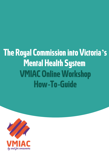# **The Royal Commission into Victoria's Mental Health System VMIAC Online Workshop How-To-Guide**

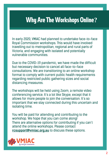# **Why Are The Workshops Online?**

In early 2020, VMIAC had planned to undertake face-to-face Royal Commission workshops. This would have involved travelling out to metropolitan, regional and rural parts of Victoria, and engaging with isolated and potentially vulnerable communities.

Due to the COVID-19 pandemic, we have made the difficult but necessary decision to cancel all face-to-face consultations. We are transitioning to an online workshop format to comply with current public health requirements regarding restricted public gathering sizes and social distancing measures.

The workshops will be held using Zoom, a remote video conferencing service. It's a lot like Skype, except that it allows for more people to join the conversation. It's so important that we stay connected during this uncertain and isolating time.

You will be paid for attending and contributing to the workshop. We hope that you can come along! There are alternative options for contributing if you can't attend the online workshops. Please contact **rcsupport@vmiac.org.au** to discuss these options.

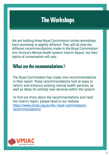# **The Workshops**

We are holding three Royal Commission online workshops. Each workshop is slightly different. They will all deal the different recommendations made in the Royal Commission into Victoria's Mental Health system Interim Report, but their topics of conversation will vary.

### **What are the recommendations?**

The Royal Commission has made nine recommendations in their report. These recommendations look at ways to reform and enhance existing mental health services, as well as ideas for entirely new services within the system.

To find out more about the recommendations and read the interim report, please head to our website https://www.vmiac.org.au/the-royal-commissionsrecommendations/

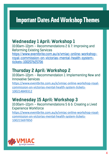### **Wednesday 1 April: Workshop 1**

10:00am-12pm – Recommendations 2 & 7: Improving and Reforming Existing Services https://www.eventbrite.com.au/e/vmiac-online-workshoproyal-commission-on-victorias-mental-health-systemtickets-100207625706

### **[Thursday 2 April: Workshop 2](https://www.eventbrite.com.au/e/vmiac-online-workshop-royal-commission-on-victorias-mental-health-system-tickets-100207625706)**

10:00am-12pm – Recommendation 1: Implementing New and Innovative Services https://www.eventbrite.com.au/e/vmiac-online-workshop-royalcommission-on-victorias-mental-health-system-tickets-100214849312

### **[Wednesday 15 April: Workshop 3](https://www.eventbrite.com.au/e/vmiac-online-workshop-royal-commission-on-victorias-mental-health-system-tickets-100214849312)**

10:00am-12pm – Recommendations 5 & 6: Creating a Lived Experience Workforce https://www.eventbrite.com.au/e/vmiac-online-workshop-royalcommission-on-victorias-mental-health-system-tickets-[100215697850](https://www.eventbrite.com.au/e/vmiac-online-workshop-royal-commission-on-victorias-mental-health-system-tickets-100215697850)

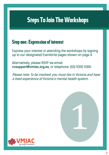### **Step one: Expression of interest**

Express your interest in attending the workshops by signing up to our designated Eventbrite pages shown on page 4.

Alternatively, please RSVP via email: **rcsupport@vmiac.org.au**, or telephone: (03) 9390 9300.

Please note: To be involved, you must live in Victoria and have a lived experience of Victoria's mental health system.



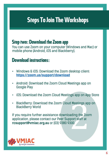# **Step two: Download the Zoom app**

You can use Zoom on your computer (Windows and Mac) or mobile phone (Android, iOS and Blackberry).

## **Download instructions:**

- Windows & iOS: Download the Zoom desktop client: **https://zoom.us/support/download**
- [Android: Download the Zoom Cloud Me](https://zoom.us/support/download)etings app on Google Play
- iOS: Download the Zoom Cloud Meetings app on App Store
- BlackBerry: Download the Zoom Cloud Meetings app on BlackBerry World

d Meetings app<br>ading the Zoor<br>port staff at<br>300. If you require further assistance downloading the Zoom application, please contact our Peer Support staff at **rcsupport@vmiac.org.au** or (03) 9380 9300.

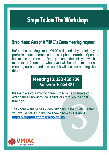# **Step three: Accept VMIAC's Zoom meeting request**

Before the meeting starts, VMIAC will send a hyperlink to your preferred contact email address or phone number. Open the link to join the meeting. Once you open the link, you will be taken to the Zoom app, where you will be asked to enter a meeting number and password. It will look something like this:

#### **Meeting ID: 123 456 789 Password: 654321**

Please have your microphone turned off and make your attendance known to the facilitators through the chat function.

their Help Centhis is done: The Zoom website has Video Tutorials in their Help Center if you would prefer to first be shown how this is done: **https://support.zoom.us/hc/en-us**

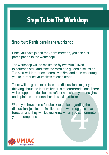### **Step four: Participate in the workshop**

Once you have joined the Zoom meeting, you can start participating in the workshop!

The workshop will be facilitated by two VMIAC lived experience staff and take the form of a guided discussion. The staff will introduce themselves first and then encourage you to introduce yourselves to each other.

There will be group exercises and discussions to get you thinking about the Interim Report's recommendations. There will be opportunities both to reflect and share your insights and opinions on mental health service reform.

regarding the<br>through the ch<br>n you can unn<br>discription When you have some feedback to make regarding the discussion, just let the facilitators know through the chat function and they will let you know when you can unmute your microphone.

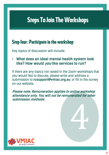## **Step four: Participate in the workshop**

Key topics of discussion will include:

• **What does an ideal mental health system look like? How would you like services to run?**

If there are any topics not raised in the Zoom workshops that you would like to discuss, please write and address a submission to **rcsupport@vmiac.org.au**, or fill in the survey on our website.

**Please note: Remuneration applies to online workshop attendance only. You will not be remunerated for other submission methods.** 4